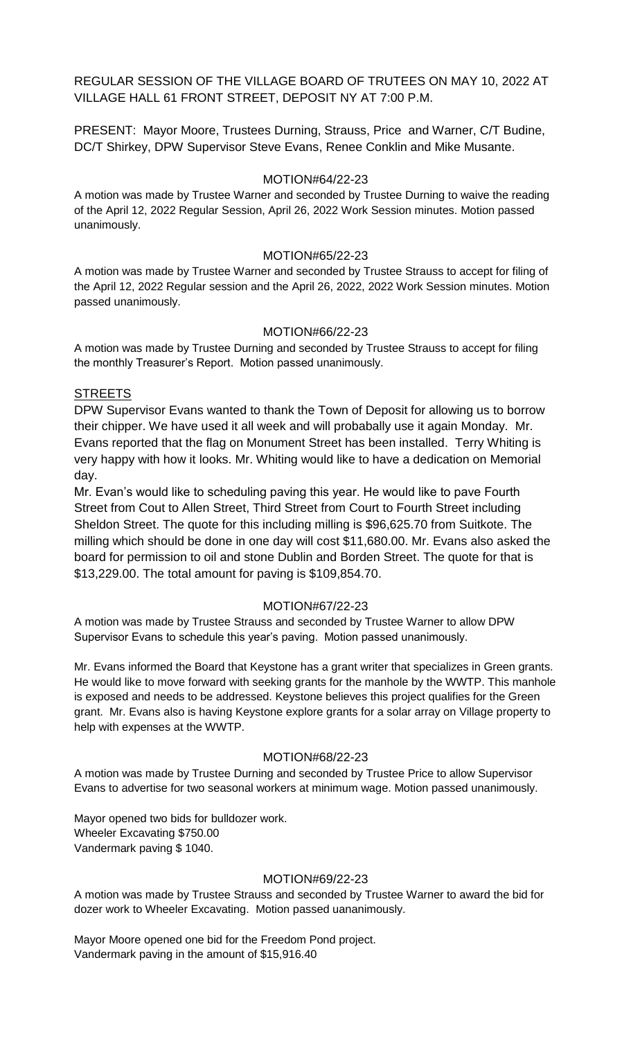REGULAR SESSION OF THE VILLAGE BOARD OF TRUTEES ON MAY 10, 2022 AT VILLAGE HALL 61 FRONT STREET, DEPOSIT NY AT 7:00 P.M.

PRESENT: Mayor Moore, Trustees Durning, Strauss, Price and Warner, C/T Budine, DC/T Shirkey, DPW Supervisor Steve Evans, Renee Conklin and Mike Musante.

### MOTION#64/22-23

A motion was made by Trustee Warner and seconded by Trustee Durning to waive the reading of the April 12, 2022 Regular Session, April 26, 2022 Work Session minutes. Motion passed unanimously.

### MOTION#65/22-23

A motion was made by Trustee Warner and seconded by Trustee Strauss to accept for filing of the April 12, 2022 Regular session and the April 26, 2022, 2022 Work Session minutes. Motion passed unanimously.

### MOTION#66/22-23

A motion was made by Trustee Durning and seconded by Trustee Strauss to accept for filing the monthly Treasurer's Report. Motion passed unanimously.

### STREETS

DPW Supervisor Evans wanted to thank the Town of Deposit for allowing us to borrow their chipper. We have used it all week and will probabally use it again Monday. Mr. Evans reported that the flag on Monument Street has been installed. Terry Whiting is very happy with how it looks. Mr. Whiting would like to have a dedication on Memorial day.

Mr. Evan's would like to scheduling paving this year. He would like to pave Fourth Street from Cout to Allen Street, Third Street from Court to Fourth Street including Sheldon Street. The quote for this including milling is \$96,625.70 from Suitkote. The milling which should be done in one day will cost \$11,680.00. Mr. Evans also asked the board for permission to oil and stone Dublin and Borden Street. The quote for that is \$13,229.00. The total amount for paving is \$109,854.70.

### MOTION#67/22-23

A motion was made by Trustee Strauss and seconded by Trustee Warner to allow DPW Supervisor Evans to schedule this year's paving. Motion passed unanimously.

Mr. Evans informed the Board that Keystone has a grant writer that specializes in Green grants. He would like to move forward with seeking grants for the manhole by the WWTP. This manhole is exposed and needs to be addressed. Keystone believes this project qualifies for the Green grant. Mr. Evans also is having Keystone explore grants for a solar array on Village property to help with expenses at the WWTP.

### MOTION#68/22-23

A motion was made by Trustee Durning and seconded by Trustee Price to allow Supervisor Evans to advertise for two seasonal workers at minimum wage. Motion passed unanimously.

Mayor opened two bids for bulldozer work. Wheeler Excavating \$750.00 Vandermark paving \$ 1040.

### MOTION#69/22-23

A motion was made by Trustee Strauss and seconded by Trustee Warner to award the bid for dozer work to Wheeler Excavating. Motion passed uananimously.

Mayor Moore opened one bid for the Freedom Pond project. Vandermark paving in the amount of \$15,916.40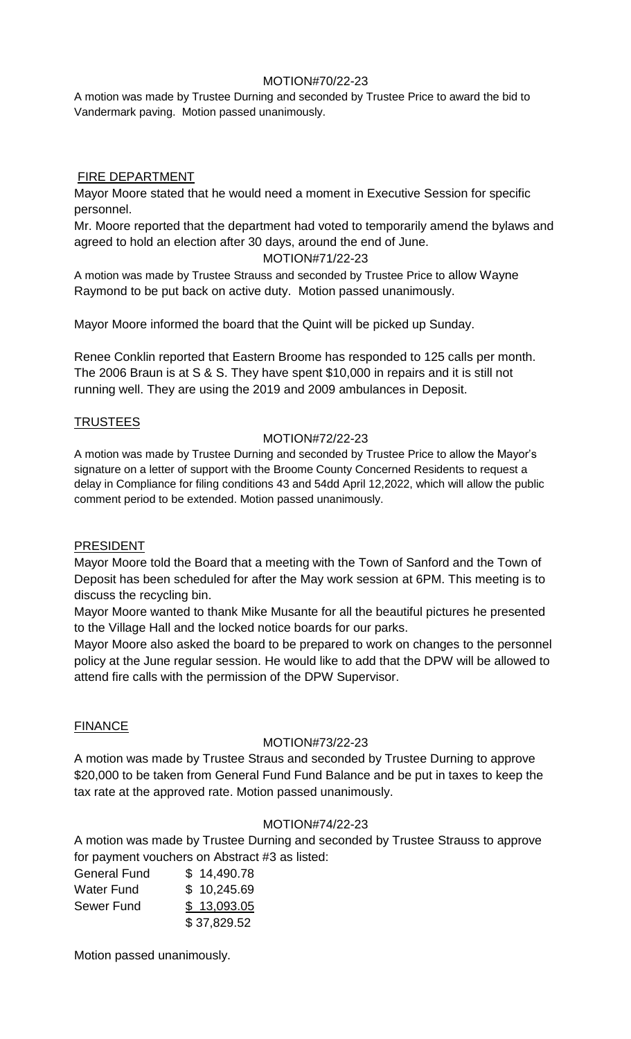# MOTION#70/22-23

A motion was made by Trustee Durning and seconded by Trustee Price to award the bid to Vandermark paving. Motion passed unanimously.

# FIRE DEPARTMENT

Mayor Moore stated that he would need a moment in Executive Session for specific personnel.

Mr. Moore reported that the department had voted to temporarily amend the bylaws and agreed to hold an election after 30 days, around the end of June.

## MOTION#71/22-23

A motion was made by Trustee Strauss and seconded by Trustee Price to allow Wayne Raymond to be put back on active duty. Motion passed unanimously.

Mayor Moore informed the board that the Quint will be picked up Sunday.

Renee Conklin reported that Eastern Broome has responded to 125 calls per month. The 2006 Braun is at S & S. They have spent \$10,000 in repairs and it is still not running well. They are using the 2019 and 2009 ambulances in Deposit.

# TRUSTEES

# MOTION#72/22-23

A motion was made by Trustee Durning and seconded by Trustee Price to allow the Mayor's signature on a letter of support with the Broome County Concerned Residents to request a delay in Compliance for filing conditions 43 and 54dd April 12,2022, which will allow the public comment period to be extended. Motion passed unanimously.

## PRESIDENT

Mayor Moore told the Board that a meeting with the Town of Sanford and the Town of Deposit has been scheduled for after the May work session at 6PM. This meeting is to discuss the recycling bin.

Mayor Moore wanted to thank Mike Musante for all the beautiful pictures he presented to the Village Hall and the locked notice boards for our parks.

Mayor Moore also asked the board to be prepared to work on changes to the personnel policy at the June regular session. He would like to add that the DPW will be allowed to attend fire calls with the permission of the DPW Supervisor.

# **FINANCE**

# MOTION#73/22-23

A motion was made by Trustee Straus and seconded by Trustee Durning to approve \$20,000 to be taken from General Fund Fund Balance and be put in taxes to keep the tax rate at the approved rate. Motion passed unanimously.

## MOTION#74/22-23

A motion was made by Trustee Durning and seconded by Trustee Strauss to approve for payment vouchers on Abstract #3 as listed:

| <b>General Fund</b> | \$14,490.78 |
|---------------------|-------------|
| <b>Water Fund</b>   | \$10,245.69 |
| Sewer Fund          | \$13,093.05 |
|                     | \$37,829.52 |

Motion passed unanimously.